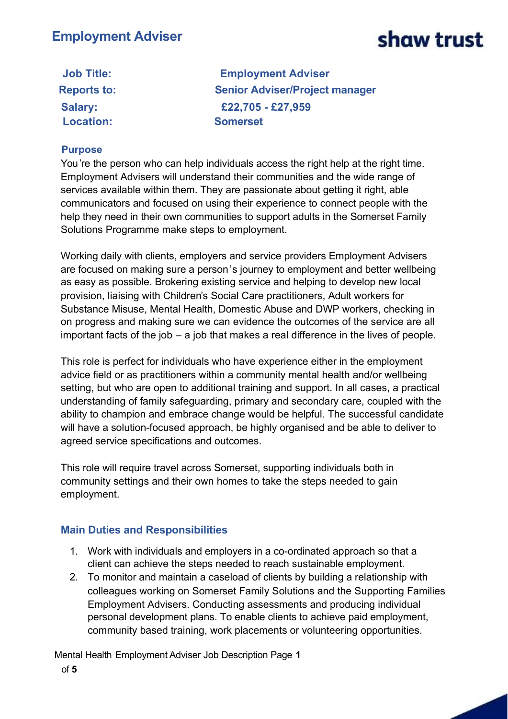| <b>Job Title:</b>  | <b>Employment Adviser</b>             |
|--------------------|---------------------------------------|
| <b>Reports to:</b> | <b>Senior Adviser/Project manager</b> |
| <b>Salary:</b>     | £22,705 - £27,959                     |
| <b>Location:</b>   | <b>Somerset</b>                       |

#### **Purpose**

You're the person who can help individuals access the right help at the right time. Employment Advisers will understand their communities and the wide range of services available within them. They are passionate about getting it right, able communicators and focused on using their experience to connect people with the help they need in their own communities to support adults in the Somerset Family Solutions Programme make steps to employment.

Working daily with clients, employers and service providers Employment Advisers are focused on making sure a person's journey to employment and better wellbeing as easy as possible. Brokering existing service and helping to develop new local provision, liaising with Children's Social Care practitioners, Adult workers for Substance Misuse, Mental Health, Domestic Abuse and DWP workers, checking in on progress and making sure we can evidence the outcomes of the service are all important facts of the job – a job that makes a real difference in the lives of people.

This role is perfect for individuals who have experience either in the employment advice field or as practitioners within a community mental health and/or wellbeing setting, but who are open to additional training and support. In all cases, a practical understanding of family safeguarding, primary and secondary care, coupled with the ability to champion and embrace change would be helpful. The successful candidate will have a solution-focused approach, be highly organised and be able to deliver to agreed service specifications and outcomes.

This role will require travel across Somerset, supporting individuals both in community settings and their own homes to take the steps needed to gain employment.

### **Main Duties and Responsibilities**

- 1. Work with individuals and employers in a co-ordinated approach so that a client can achieve the steps needed to reach sustainable employment.
- 2. To monitor and maintain a caseload of clients by building a relationship with colleagues working on Somerset Family Solutions and the Supporting Families Employment Advisers. Conducting assessments and producing individual personal development plans. To enable clients to achieve paid employment, community based training, work placements or volunteering opportunities.

Mental Health Employment Adviser Job Description Page **1** of **5**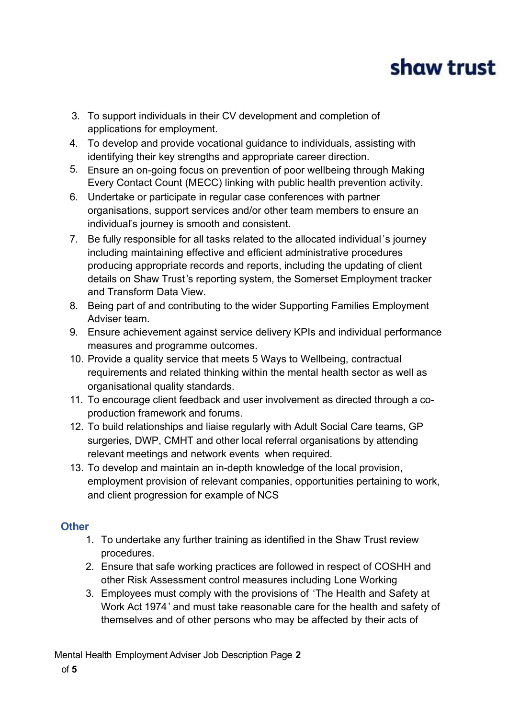- 3. To support individuals in their CV development and completion of applications for employment.
- 4. To develop and provide vocational guidance to individuals, assisting with identifying their key strengths and appropriate career direction.
- 5. Ensure an on-going focus on prevention of poor wellbeing through Making Every Contact Count (MECC) linking with public health prevention activity.
- 6. Undertake or participate in regular case conferences with partner organisations, support services and/or other team members to ensure an individual's journey is smooth and consistent.
- 7. Be fully responsible for all tasks related to the allocated individual 's journey including maintaining effective and efficient administrative procedures producing appropriate records and reports, including the updating of client details on Shaw Trust's reporting system, the Somerset Employment tracker and Transform Data View.
- 8. Being part of and contributing to the wider Supporting Families Employment Adviser team.
- 9. Ensure achievement against service delivery KPIs and individual performance measures and programme outcomes.
- 10. Provide a quality service that meets 5 Ways to Wellbeing, contractual requirements and related thinking within the mental health sector as well as organisational quality standards.
- 11. To encourage client feedback and user involvement as directed through a coproduction framework and forums.
- 12. To build relationships and liaise regularly with Adult Social Care teams, GP surgeries, DWP, CMHT and other local referral organisations by attending relevant meetings and network events when required.
- 13. To develop and maintain an in-depth knowledge of the local provision, employment provision of relevant companies, opportunities pertaining to work, and client progression for example of NCS

### **Other**

- 1. To undertake any further training as identified in the Shaw Trust review procedures.
- 2. Ensure that safe working practices are followed in respect of COSHH and other Risk Assessment control measures including Lone Working
- 3. Employees must comply with the provisions of 'The Health and Safety at Work Act 1974' and must take reasonable care for the health and safety of themselves and of other persons who may be affected by their acts of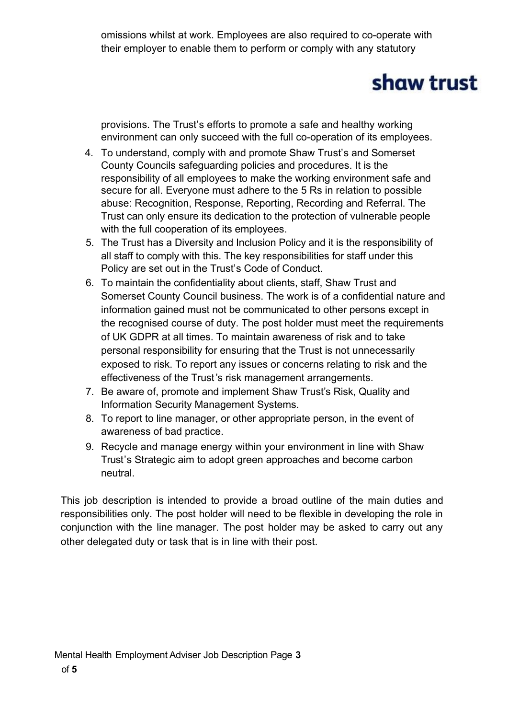omissions whilst at work. Employees are also required to co-operate with their employer to enable them to perform or comply with any statutory

## shaw trust

provisions. The Trust's efforts to promote a safe and healthy working environment can only succeed with the full co-operation of its employees.

- 4. To understand, comply with and promote Shaw Trust's and Somerset County Councils safeguarding policies and procedures. It is the responsibility of all employees to make the working environment safe and secure for all. Everyone must adhere to the 5 Rs in relation to possible abuse: Recognition, Response, Reporting, Recording and Referral. The Trust can only ensure its dedication to the protection of vulnerable people with the full cooperation of its employees.
- 5. The Trust has a Diversity and Inclusion Policy and it is the responsibility of all staff to comply with this. The key responsibilities for staff under this Policy are set out in the Trust's Code of Conduct.
- 6. To maintain the confidentiality about clients, staff, Shaw Trust and Somerset County Council business. The work is of a confidential nature and information gained must not be communicated to other persons except in the recognised course of duty. The post holder must meet the requirements of UK GDPR at all times. To maintain awareness of risk and to take personal responsibility for ensuring that the Trust is not unnecessarily exposed to risk. To report any issues or concerns relating to risk and the effectiveness of the Trust's risk management arrangements.
- 7. Be aware of, promote and implement Shaw Trust's Risk, Quality and Information Security Management Systems.
- 8. To report to line manager, or other appropriate person, in the event of awareness of bad practice.
- 9. Recycle and manage energy within your environment in line with Shaw Trust's Strategic aim to adopt green approaches and become carbon neutral.

This job description is intended to provide a broad outline of the main duties and responsibilities only. The post holder will need to be flexible in developing the role in conjunction with the line manager. The post holder may be asked to carry out any other delegated duty or task that is in line with their post.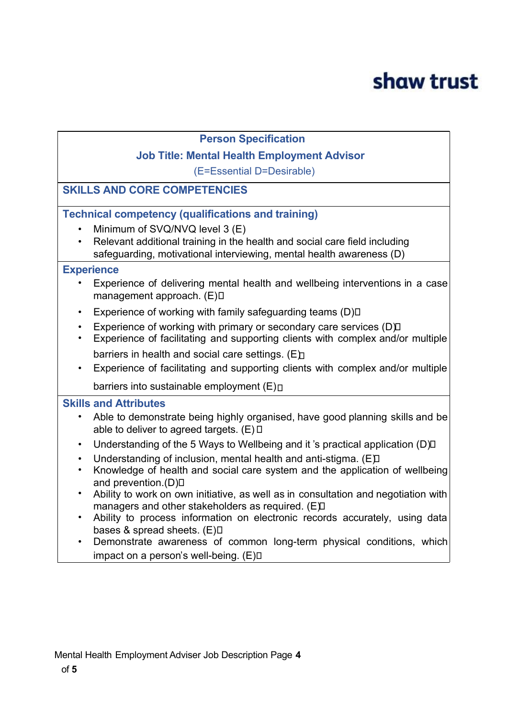#### **Person Specification**

#### **Job Title: Mental Health Employment Advisor**

(E=Essential D=Desirable)

### **SKILLS AND CORE COMPETENCIES**

### **Technical competency (qualifications and training)**

- Minimum of SVQ/NVQ level 3 (E)
- Relevant additional training in the health and social care field including safeguarding, motivational interviewing, mental health awareness (D)

#### **Experience**

- Experience of delivering mental health and wellbeing interventions in a case management approach. (E)
- Experience of working with family safeguarding teams (D) $\square$
- Experience of working with primary or secondary care services (D) I
- Experience of facilitating and supporting clients with complex and/or multiple barriers in health and social care settings.  $(E)$
- Experience of facilitating and supporting clients with complex and/or multiple

barriers into sustainable employment  $(E)$ 

#### **Skills and Attributes**

- Able to demonstrate being highly organised, have good planning skills and be able to deliver to agreed targets.  $(E)$   $\Box$
- Understanding of the 5 Ways to Wellbeing and it 's practical application (D)<sup>[1]</sup>
- Understanding of inclusion, mental health and anti-stigma. (E)
- Knowledge of health and social care system and the application of wellbeing and prevention.(D) $\Box$
- Ability to work on own initiative, as well as in consultation and negotiation with managers and other stakeholders as required. (E)
- Ability to process information on electronic records accurately, using data bases & spread sheets. (E) $\square$
- Demonstrate awareness of common long-term physical conditions, which impact on a person's well-being. (E) $\square$